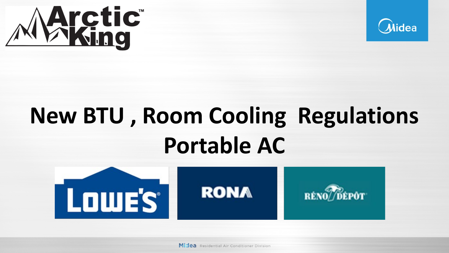



# **New BTU , Room Cooling Regulations Portable AC**



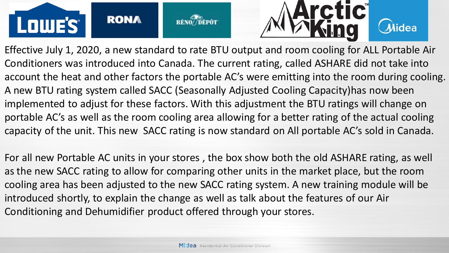



Effective July 1, 2020, a new standard to rate BTU output and room cooling for ALL Portable Air Conditioners was introduced into Canada. The current rating, called ASHARE did not take into account the heat and other factors the portable AC's were emitting into the room during cooling. A new BTU rating system called SACC (Seasonally Adjusted Cooling Capacity)has now been implemented to adjust for these factors. With this adjustment the BTU ratings will change on portable AC's as well as the room cooling area allowing for a better rating of the actual cooling capacity of the unit. This new SACC rating is now standard on All portable AC's sold in Canada.

For all new Portable AC units in your stores , the box show both the old ASHARE rating, as well as the new SACC rating to allow for comparing other units in the market place, but the room cooling area has been adjusted to the new SACC rating system. A new training module will be introduced shortly, to explain the change as well as talk about the features of our Air Conditioning and Dehumidifier product offered through your stores.